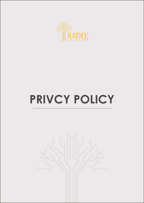

## **PRIVCY POLICY**

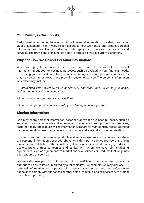

Radix invest is committed to safeguarding all personal information provided to us by our valued customers. This Privacy Policy describes how we handle and protect personal information we collect about individuals who apply for, or receive, our products and services. The provisions of this notice apply to former as well as current customers.

## Why and How We Collect Personal Information:

When you apply for, or maintain, an account with Radix Invest we collect personal information about you for business purposes, such as evaluating your financial needs, processing your requests and transactions, informing you about products and services that may be of interest to you, and providing customer service. The personal information we collect may include:

 – Information you provide to us on applications and other forms, such as your name, address, date of birth and occupation.

– Information about your transactions with us.

– Information you provide to us to verify your identity, such as a passport.

## Sharing Information:

 We may share personal information described above for business purposes, such as servicing customer accounts and informing customers about new products and services, as permitted by applicable law. The information we share for marketing purposes is limited by the information described above, such as name, address and account information.

In order to support the financial products and services we provide to you, we may share the personal information described above with third party service providers and joint marketers, not affiliated with us, including: Financial service institutions (e.g., advisers, dealers, brokers, trust companies and banks) with whom we have joint marketing agreements, such as agreements to market financial services or products that we jointly offer, endorse or sponsor.

We may disclose personal information with nonaffiliated companies and regulatory authorities as permitted or required by applicable law. For example, we may disclose personal information to cooperate with regulatory authorities and law enforcement agencies to comply with subpoenas or other official requests, and as necessary to protect our rights or property.